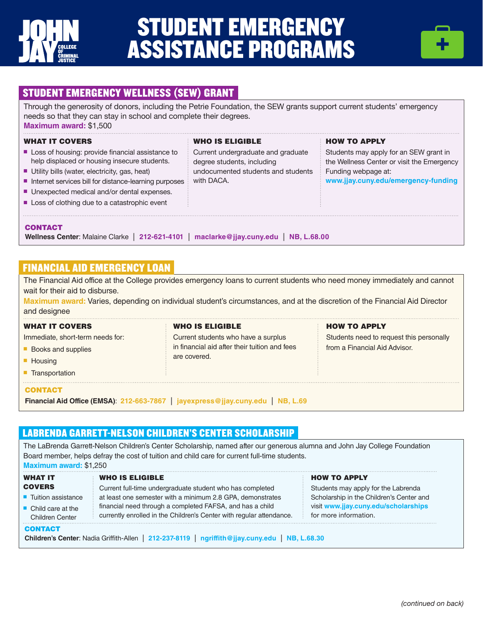



# STUDENT EMERGENCY WELLNESS (SEW) GRANT

Through the generosity of donors, including the Petrie Foundation, the SEW grants support current students' emergency needs so that they can stay in school and complete their degrees. **Maximum award:** \$1,500

| <b>WHAT IT COVERS</b>                                                                                                                                                                                                                                                                                      | WHO IS ELIGIBLE                                                                                                      | <b>HOW TO APPLY</b>                                                                                                                                |
|------------------------------------------------------------------------------------------------------------------------------------------------------------------------------------------------------------------------------------------------------------------------------------------------------------|----------------------------------------------------------------------------------------------------------------------|----------------------------------------------------------------------------------------------------------------------------------------------------|
| Loss of housing: provide financial assistance to<br>help displaced or housing insecure students.<br>Utility bills (water, electricity, gas, heat)<br>Internet services bill for distance-learning purposes<br>■ Unexpected medical and/or dental expenses.<br>Loss of clothing due to a catastrophic event | Current undergraduate and graduate<br>degree students, including<br>undocumented students and students<br>with DACA. | Students may apply for an SEW grant in<br>the Wellness Center or visit the Emergency<br>Funding webpage at:<br>www.jjay.cuny.edu/emergency-funding |
| <b>CONTACT</b><br>212-621-4101<br>maclarke@jjay.cuny.edu<br><b>Wellness Center: Malaine Clarke</b><br><b>NB. L.68.00</b>                                                                                                                                                                                   |                                                                                                                      |                                                                                                                                                    |

# FINANCIAL AID EMERGENCY LOAN

The Financial Aid office at the College provides emergency loans to current students who need money immediately and cannot wait for their aid to disburse.

**Maximum award:** Varies, depending on individual student's circumstances, and at the discretion of the Financial Aid Director and designee

#### WHAT IT COVERS Immediate, short-term needs for: ■ Books and supplies HOW TO APPLY Students need to request this personally from a Financial Aid Advisor. WHO IS ELIGIBLE Current students who have a surplus in financial aid after their tuition and fees are covered.

**Housing** 

**n** Transportation 

#### **CONTACT**

**Financial Aid Office (EMSA)**: **212-663-7867 | jayexpress@jjay.cuny.edu | NB, L.69**

# LABRENDA GARRETT-NELSON CHILDREN'S CENTER SCHOLARSHIP

The LaBrenda Garrett-Nelson Children's Center Scholarship, named after our generous alumna and John Jay College Foundation Board member, helps defray the cost of tuition and child care for current full-time students. **Maximum award:** \$1,250

| <b>WHAT IT</b>                                                                                                   | <b>WHO IS ELIGIBLE</b>                                               | <b>HOW TO APPLY</b>                      |
|------------------------------------------------------------------------------------------------------------------|----------------------------------------------------------------------|------------------------------------------|
| <b>COVERS</b>                                                                                                    | Current full-time undergraduate student who has completed            | Students may apply for the Labrenda      |
| ■ Tuition assistance                                                                                             | at least one semester with a minimum 2.8 GPA, demonstrates           | Scholarship in the Children's Center and |
| $\blacksquare$ Child care at the                                                                                 | financial need through a completed FAFSA, and has a child            | visit www.jjay.cuny.edu/scholarships     |
| <b>Children Center</b>                                                                                           | currently enrolled in the Children's Center with regular attendance. | for more information.                    |
| <b>CONTACT</b><br>Children's Center: Nadia Griffith-Allen   212-237-8119   ngriffith@jjay.cuny.edu   NB, L.68.30 |                                                                      |                                          |